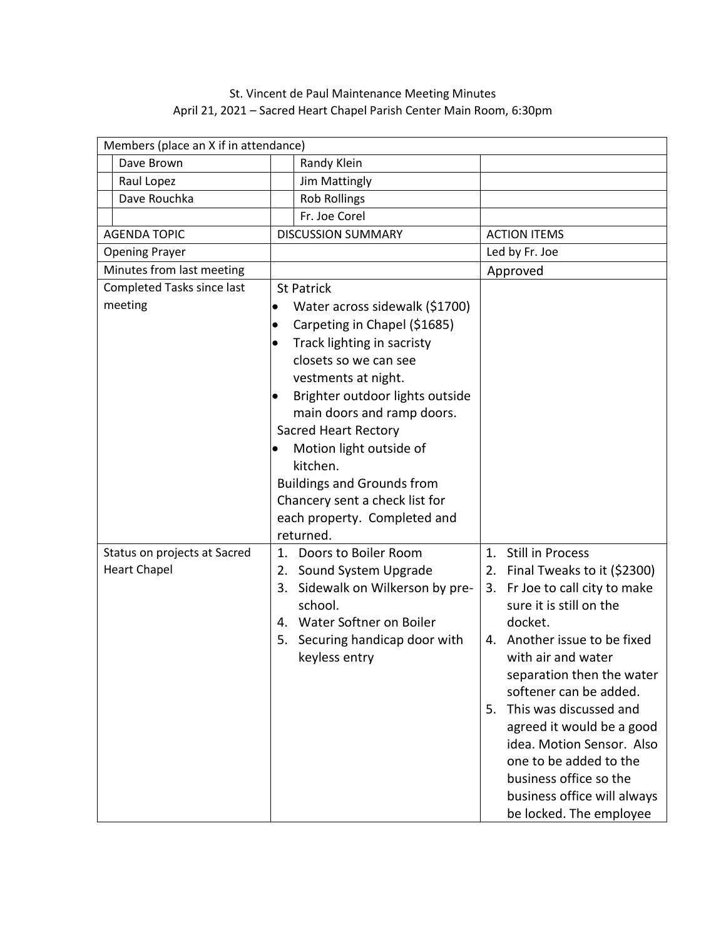## St. Vincent de Paul Maintenance Meeting Minutes April 21, 2021 – Sacred Heart Chapel Parish Center Main Room, 6:30pm

| Members (place an X if in attendance)               |                                                                                                                                                                                                                                                                                                                                                                                      |                                                                                                                                                                                                                                                                                                                                                                                                                                                    |  |  |
|-----------------------------------------------------|--------------------------------------------------------------------------------------------------------------------------------------------------------------------------------------------------------------------------------------------------------------------------------------------------------------------------------------------------------------------------------------|----------------------------------------------------------------------------------------------------------------------------------------------------------------------------------------------------------------------------------------------------------------------------------------------------------------------------------------------------------------------------------------------------------------------------------------------------|--|--|
| Dave Brown                                          | Randy Klein                                                                                                                                                                                                                                                                                                                                                                          |                                                                                                                                                                                                                                                                                                                                                                                                                                                    |  |  |
| Raul Lopez                                          | <b>Jim Mattingly</b>                                                                                                                                                                                                                                                                                                                                                                 |                                                                                                                                                                                                                                                                                                                                                                                                                                                    |  |  |
| Dave Rouchka                                        | <b>Rob Rollings</b>                                                                                                                                                                                                                                                                                                                                                                  |                                                                                                                                                                                                                                                                                                                                                                                                                                                    |  |  |
|                                                     | Fr. Joe Corel                                                                                                                                                                                                                                                                                                                                                                        |                                                                                                                                                                                                                                                                                                                                                                                                                                                    |  |  |
| <b>AGENDA TOPIC</b>                                 | <b>DISCUSSION SUMMARY</b>                                                                                                                                                                                                                                                                                                                                                            | <b>ACTION ITEMS</b>                                                                                                                                                                                                                                                                                                                                                                                                                                |  |  |
| <b>Opening Prayer</b>                               |                                                                                                                                                                                                                                                                                                                                                                                      | Led by Fr. Joe                                                                                                                                                                                                                                                                                                                                                                                                                                     |  |  |
| Minutes from last meeting                           |                                                                                                                                                                                                                                                                                                                                                                                      | Approved                                                                                                                                                                                                                                                                                                                                                                                                                                           |  |  |
| Completed Tasks since last                          | <b>St Patrick</b>                                                                                                                                                                                                                                                                                                                                                                    |                                                                                                                                                                                                                                                                                                                                                                                                                                                    |  |  |
| meeting                                             | Water across sidewalk (\$1700)<br>Carpeting in Chapel (\$1685)<br>$\bullet$<br>Track lighting in sacristy<br>closets so we can see<br>vestments at night.<br>Brighter outdoor lights outside<br>$\bullet$<br>main doors and ramp doors.<br><b>Sacred Heart Rectory</b><br>Motion light outside of<br>kitchen.<br><b>Buildings and Grounds from</b><br>Chancery sent a check list for |                                                                                                                                                                                                                                                                                                                                                                                                                                                    |  |  |
|                                                     | each property. Completed and                                                                                                                                                                                                                                                                                                                                                         |                                                                                                                                                                                                                                                                                                                                                                                                                                                    |  |  |
|                                                     | returned.                                                                                                                                                                                                                                                                                                                                                                            |                                                                                                                                                                                                                                                                                                                                                                                                                                                    |  |  |
| Status on projects at Sacred<br><b>Heart Chapel</b> | 1. Doors to Boiler Room<br>2. Sound System Upgrade<br>3. Sidewalk on Wilkerson by pre-<br>school.<br>4. Water Softner on Boiler<br>5. Securing handicap door with<br>keyless entry                                                                                                                                                                                                   | 1. Still in Process<br>2. Final Tweaks to it (\$2300)<br>3. Fr Joe to call city to make<br>sure it is still on the<br>docket.<br>4. Another issue to be fixed<br>with air and water<br>separation then the water<br>softener can be added.<br>This was discussed and<br>5.<br>agreed it would be a good<br>idea. Motion Sensor. Also<br>one to be added to the<br>business office so the<br>business office will always<br>be locked. The employee |  |  |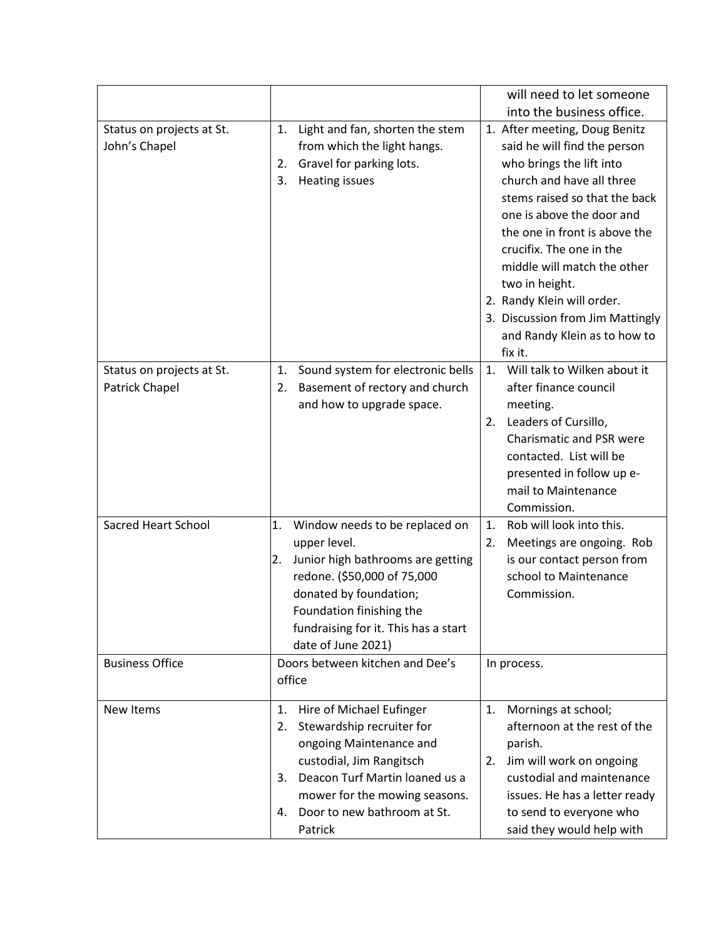|                                             |                                                                                                                                                                                                                                                    | will need to let someone<br>into the business office.                                                                                                                                                                                                                                                                                                                                                           |
|---------------------------------------------|----------------------------------------------------------------------------------------------------------------------------------------------------------------------------------------------------------------------------------------------------|-----------------------------------------------------------------------------------------------------------------------------------------------------------------------------------------------------------------------------------------------------------------------------------------------------------------------------------------------------------------------------------------------------------------|
| Status on projects at St.<br>John's Chapel  | Light and fan, shorten the stem<br>1.<br>from which the light hangs.<br>Gravel for parking lots.<br>2.<br><b>Heating issues</b><br>3.                                                                                                              | 1. After meeting, Doug Benitz<br>said he will find the person<br>who brings the lift into<br>church and have all three<br>stems raised so that the back<br>one is above the door and<br>the one in front is above the<br>crucifix. The one in the<br>middle will match the other<br>two in height.<br>2. Randy Klein will order.<br>3. Discussion from Jim Mattingly<br>and Randy Klein as to how to<br>fix it. |
| Status on projects at St.<br>Patrick Chapel | Sound system for electronic bells<br>1.<br>Basement of rectory and church<br>2.<br>and how to upgrade space.                                                                                                                                       | Will talk to Wilken about it<br>1.<br>after finance council<br>meeting.<br>Leaders of Cursillo,<br>2.<br>Charismatic and PSR were<br>contacted. List will be<br>presented in follow up e-<br>mail to Maintenance<br>Commission.                                                                                                                                                                                 |
| <b>Sacred Heart School</b>                  | 1.<br>Window needs to be replaced on<br>upper level.<br>Junior high bathrooms are getting<br>2.<br>redone. (\$50,000 of 75,000<br>donated by foundation;<br>Foundation finishing the<br>fundraising for it. This has a start<br>date of June 2021) | Rob will look into this.<br>1.<br>Meetings are ongoing. Rob<br>2.<br>is our contact person from<br>school to Maintenance<br>Commission.                                                                                                                                                                                                                                                                         |
| <b>Business Office</b>                      | Doors between kitchen and Dee's<br>office                                                                                                                                                                                                          | In process.                                                                                                                                                                                                                                                                                                                                                                                                     |
| New Items                                   | 1.<br>Hire of Michael Eufinger<br>Stewardship recruiter for<br>2.<br>ongoing Maintenance and<br>custodial, Jim Rangitsch<br>Deacon Turf Martin loaned us a<br>3.<br>mower for the mowing seasons.<br>Door to new bathroom at St.<br>4.<br>Patrick  | 1.<br>Mornings at school;<br>afternoon at the rest of the<br>parish.<br>Jim will work on ongoing<br>2.<br>custodial and maintenance<br>issues. He has a letter ready<br>to send to everyone who<br>said they would help with                                                                                                                                                                                    |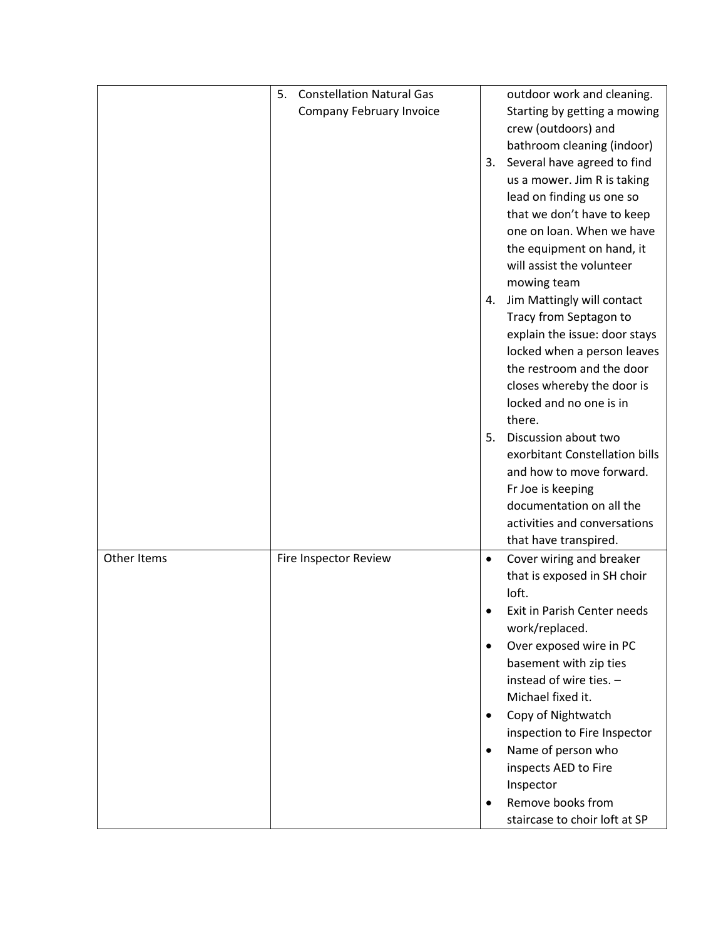|             | <b>Constellation Natural Gas</b><br>5. |           | outdoor work and cleaning.                         |
|-------------|----------------------------------------|-----------|----------------------------------------------------|
|             | Company February Invoice               |           | Starting by getting a mowing                       |
|             |                                        |           | crew (outdoors) and                                |
|             |                                        |           | bathroom cleaning (indoor)                         |
|             |                                        | 3.        | Several have agreed to find                        |
|             |                                        |           | us a mower. Jim R is taking                        |
|             |                                        |           | lead on finding us one so                          |
|             |                                        |           | that we don't have to keep                         |
|             |                                        |           | one on loan. When we have                          |
|             |                                        |           | the equipment on hand, it                          |
|             |                                        |           | will assist the volunteer                          |
|             |                                        |           | mowing team                                        |
|             |                                        | 4.        | Jim Mattingly will contact                         |
|             |                                        |           | Tracy from Septagon to                             |
|             |                                        |           | explain the issue: door stays                      |
|             |                                        |           | locked when a person leaves                        |
|             |                                        |           | the restroom and the door                          |
|             |                                        |           | closes whereby the door is                         |
|             |                                        |           | locked and no one is in                            |
|             |                                        |           | there.                                             |
|             |                                        | 5.        | Discussion about two                               |
|             |                                        |           | exorbitant Constellation bills                     |
|             |                                        |           | and how to move forward.                           |
|             |                                        |           | Fr Joe is keeping                                  |
|             |                                        |           | documentation on all the                           |
|             |                                        |           | activities and conversations                       |
|             |                                        |           | that have transpired.                              |
| Other Items | Fire Inspector Review                  | $\bullet$ | Cover wiring and breaker                           |
|             |                                        |           | that is exposed in SH choir                        |
|             |                                        |           | loft.                                              |
|             |                                        |           | Exit in Parish Center needs                        |
|             |                                        |           | work/replaced.                                     |
|             |                                        | $\bullet$ | Over exposed wire in PC                            |
|             |                                        |           | basement with zip ties<br>instead of wire ties. -  |
|             |                                        |           |                                                    |
|             |                                        |           | Michael fixed it.                                  |
|             |                                        | $\bullet$ | Copy of Nightwatch<br>inspection to Fire Inspector |
|             |                                        | $\bullet$ | Name of person who                                 |
|             |                                        |           | inspects AED to Fire                               |
|             |                                        |           | Inspector                                          |
|             |                                        | $\bullet$ | Remove books from                                  |
|             |                                        |           | staircase to choir loft at SP                      |